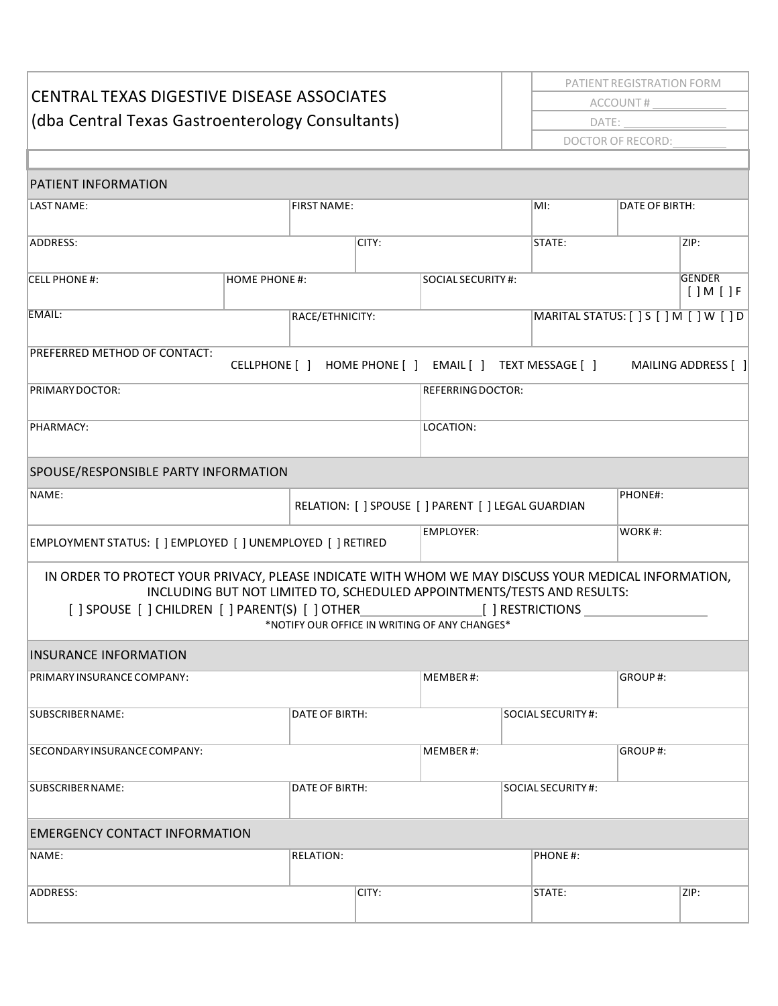| <b>CENTRAL TEXAS DIGESTIVE DISEASE ASSOCIATES</b><br>(dba Central Texas Gastroenterology Consultants) |                                               |                 |                                                               | PATIENT REGISTRATION FORM<br>ACCOUNT#                                       |                                         |                                          |  |
|-------------------------------------------------------------------------------------------------------|-----------------------------------------------|-----------------|---------------------------------------------------------------|-----------------------------------------------------------------------------|-----------------------------------------|------------------------------------------|--|
|                                                                                                       |                                               |                 |                                                               | DATE:                                                                       |                                         |                                          |  |
|                                                                                                       |                                               |                 |                                                               | DOCTOR OF RECORD:                                                           |                                         |                                          |  |
|                                                                                                       |                                               |                 |                                                               |                                                                             |                                         |                                          |  |
| PATIENT INFORMATION                                                                                   |                                               |                 |                                                               |                                                                             |                                         |                                          |  |
| LAST NAME:                                                                                            | <b>FIRST NAME:</b>                            |                 |                                                               | MI:                                                                         |                                         | DATE OF BIRTH:                           |  |
| ADDRESS:                                                                                              |                                               | CITY:           |                                                               | STATE:                                                                      |                                         | ZIP:                                     |  |
| CELL PHONE #:                                                                                         | <b>HOME PHONE #:</b>                          |                 |                                                               | SOCIAL SECURITY #:                                                          |                                         | <b>GENDER</b><br>$[$ $]$ M $[$ $]$ F $ $ |  |
| EMAIL:                                                                                                |                                               | RACE/ETHNICITY: |                                                               |                                                                             | MARITAL STATUS: [ ] S [ ] M [ ] W [ ] D |                                          |  |
| PREFERRED METHOD OF CONTACT:                                                                          |                                               |                 |                                                               | CELLPHONE [ ] HOME PHONE [ ] EMAIL [ ] TEXT MESSAGE [ ] MAILING ADDRESS [ ] |                                         |                                          |  |
| PRIMARY DOCTOR:                                                                                       |                                               |                 | <b>REFERRING DOCTOR:</b>                                      |                                                                             |                                         |                                          |  |
| PHARMACY:                                                                                             |                                               |                 | LOCATION:                                                     |                                                                             |                                         |                                          |  |
| SPOUSE/RESPONSIBLE PARTY INFORMATION                                                                  |                                               |                 |                                                               |                                                                             |                                         |                                          |  |
| NAME:                                                                                                 |                                               |                 | PHONE#:<br>RELATION: [ ] SPOUSE [ ] PARENT [ ] LEGAL GUARDIAN |                                                                             |                                         |                                          |  |
| EMPLOYMENT STATUS: [ ] EMPLOYED [ ] UNEMPLOYED [ ] RETIRED                                            |                                               |                 | <b>EMPLOYER:</b>                                              |                                                                             | WORK#:                                  |                                          |  |
| IN ORDER TO PROTECT YOUR PRIVACY, PLEASE INDICATE WITH WHOM WE MAY DISCUSS YOUR MEDICAL INFORMATION,  | *NOTIFY OUR OFFICE IN WRITING OF ANY CHANGES* |                 |                                                               | INCLUDING BUT NOT LIMITED TO, SCHEDULED APPOINTMENTS/TESTS AND RESULTS:     |                                         |                                          |  |
| INSURANCE INFORMATION                                                                                 |                                               |                 |                                                               |                                                                             |                                         |                                          |  |
| PRIMARY INSURANCE COMPANY:                                                                            |                                               |                 | MEMBER#:                                                      |                                                                             | GROUP#:                                 |                                          |  |
| SUBSCRIBER NAME:<br>DATE OF BIRTH:                                                                    |                                               |                 | SOCIAL SECURITY #:                                            |                                                                             |                                         |                                          |  |
| SECONDARY INSURANCE COMPANY:                                                                          |                                               |                 | MEMBER#:<br>GROUP#:                                           |                                                                             |                                         |                                          |  |
| SUBSCRIBER NAME:                                                                                      | DATE OF BIRTH:                                |                 |                                                               | SOCIAL SECURITY #:                                                          |                                         |                                          |  |
| <b>EMERGENCY CONTACT INFORMATION</b>                                                                  |                                               |                 |                                                               |                                                                             |                                         |                                          |  |
| NAME:                                                                                                 | <b>RELATION:</b>                              |                 |                                                               | PHONE#:                                                                     |                                         |                                          |  |
| ADDRESS:                                                                                              |                                               | CITY:           |                                                               | STATE:                                                                      | ZIP:                                    |                                          |  |